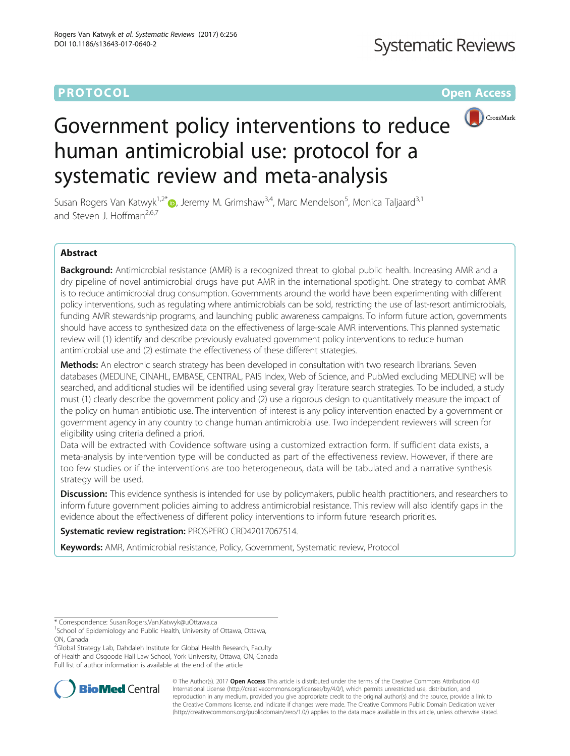# **PROTOCOL CONSUMING THE OPEN ACCESS**



# Government policy interventions to reduce human antimicrobial use: protocol for a systematic review and meta-analysis

Susan Rogers Van Katwyk<sup>1,2[\\*](http://orcid.org/0000-0002-1758-8635)</sup>®, Jeremy M. Grimshaw<sup>3,4</sup>, Marc Mendelson<sup>5</sup>, Monica Taljaard<sup>3,1</sup> and Steven J. Hoffman<sup>2,6,7</sup>

# Abstract

Background: Antimicrobial resistance (AMR) is a recognized threat to global public health. Increasing AMR and a dry pipeline of novel antimicrobial drugs have put AMR in the international spotlight. One strategy to combat AMR is to reduce antimicrobial drug consumption. Governments around the world have been experimenting with different policy interventions, such as regulating where antimicrobials can be sold, restricting the use of last-resort antimicrobials, funding AMR stewardship programs, and launching public awareness campaigns. To inform future action, governments should have access to synthesized data on the effectiveness of large-scale AMR interventions. This planned systematic review will (1) identify and describe previously evaluated government policy interventions to reduce human antimicrobial use and (2) estimate the effectiveness of these different strategies.

Methods: An electronic search strategy has been developed in consultation with two research librarians. Seven databases (MEDLINE, CINAHL, EMBASE, CENTRAL, PAIS Index, Web of Science, and PubMed excluding MEDLINE) will be searched, and additional studies will be identified using several gray literature search strategies. To be included, a study must (1) clearly describe the government policy and (2) use a rigorous design to quantitatively measure the impact of the policy on human antibiotic use. The intervention of interest is any policy intervention enacted by a government or government agency in any country to change human antimicrobial use. Two independent reviewers will screen for eligibility using criteria defined a priori.

Data will be extracted with Covidence software using a customized extraction form. If sufficient data exists, a meta-analysis by intervention type will be conducted as part of the effectiveness review. However, if there are too few studies or if the interventions are too heterogeneous, data will be tabulated and a narrative synthesis strategy will be used.

Discussion: This evidence synthesis is intended for use by policymakers, public health practitioners, and researchers to inform future government policies aiming to address antimicrobial resistance. This review will also identify gaps in the evidence about the effectiveness of different policy interventions to inform future research priorities.

Systematic review registration: PROSPERO [CRD42017067514.](http://www.crd.york.ac.uk/PROSPERO/display_record.php?ID=CRD42017067514)

Keywords: AMR, Antimicrobial resistance, Policy, Government, Systematic review, Protocol

<sup>2</sup>Global Strategy Lab, Dahdaleh Institute for Global Health Research, Faculty of Health and Osgoode Hall Law School, York University, Ottawa, ON, Canada Full list of author information is available at the end of the article



© The Author(s). 2017 **Open Access** This article is distributed under the terms of the Creative Commons Attribution 4.0 International License [\(http://creativecommons.org/licenses/by/4.0/](http://creativecommons.org/licenses/by/4.0/)), which permits unrestricted use, distribution, and reproduction in any medium, provided you give appropriate credit to the original author(s) and the source, provide a link to the Creative Commons license, and indicate if changes were made. The Creative Commons Public Domain Dedication waiver [\(http://creativecommons.org/publicdomain/zero/1.0/](http://creativecommons.org/publicdomain/zero/1.0/)) applies to the data made available in this article, unless otherwise stated.

<sup>\*</sup> Correspondence: [Susan.Rogers.Van.Katwyk@uOttawa.ca](mailto:Susan.Rogers.Van.Katwyk@uOttawa.ca) <sup>1</sup>

<sup>&</sup>lt;sup>1</sup> School of Epidemiology and Public Health, University of Ottawa, Ottawa, ON, Canada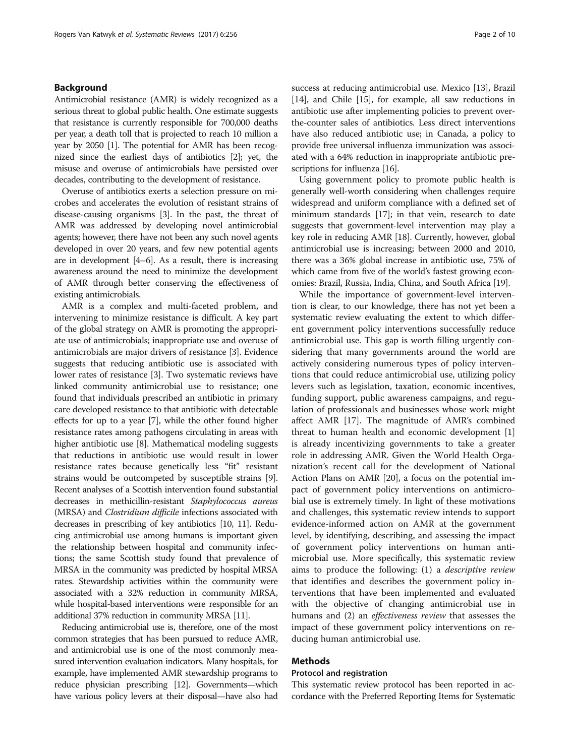## Background

Antimicrobial resistance (AMR) is widely recognized as a serious threat to global public health. One estimate suggests that resistance is currently responsible for 700,000 deaths per year, a death toll that is projected to reach 10 million a year by 2050 [\[1\]](#page-8-0). The potential for AMR has been recognized since the earliest days of antibiotics [[2](#page-8-0)]; yet, the misuse and overuse of antimicrobials have persisted over decades, contributing to the development of resistance.

Overuse of antibiotics exerts a selection pressure on microbes and accelerates the evolution of resistant strains of disease-causing organisms [\[3\]](#page-8-0). In the past, the threat of AMR was addressed by developing novel antimicrobial agents; however, there have not been any such novel agents developed in over 20 years, and few new potential agents are in development [\[4](#page-8-0)–[6](#page-8-0)]. As a result, there is increasing awareness around the need to minimize the development of AMR through better conserving the effectiveness of existing antimicrobials.

AMR is a complex and multi-faceted problem, and intervening to minimize resistance is difficult. A key part of the global strategy on AMR is promoting the appropriate use of antimicrobials; inappropriate use and overuse of antimicrobials are major drivers of resistance [\[3](#page-8-0)]. Evidence suggests that reducing antibiotic use is associated with lower rates of resistance [\[3](#page-8-0)]. Two systematic reviews have linked community antimicrobial use to resistance; one found that individuals prescribed an antibiotic in primary care developed resistance to that antibiotic with detectable effects for up to a year [\[7\]](#page-8-0), while the other found higher resistance rates among pathogens circulating in areas with higher antibiotic use [[8](#page-8-0)]. Mathematical modeling suggests that reductions in antibiotic use would result in lower resistance rates because genetically less "fit" resistant strains would be outcompeted by susceptible strains [[9](#page-8-0)]. Recent analyses of a Scottish intervention found substantial decreases in methicillin-resistant Staphylococcus aureus (MRSA) and Clostridium difficile infections associated with decreases in prescribing of key antibiotics [[10](#page-8-0), [11\]](#page-8-0). Reducing antimicrobial use among humans is important given the relationship between hospital and community infections; the same Scottish study found that prevalence of MRSA in the community was predicted by hospital MRSA rates. Stewardship activities within the community were associated with a 32% reduction in community MRSA, while hospital-based interventions were responsible for an additional 37% reduction in community MRSA [\[11](#page-8-0)].

Reducing antimicrobial use is, therefore, one of the most common strategies that has been pursued to reduce AMR, and antimicrobial use is one of the most commonly measured intervention evaluation indicators. Many hospitals, for example, have implemented AMR stewardship programs to reduce physician prescribing [\[12\]](#page-8-0). Governments—which have various policy levers at their disposal—have also had success at reducing antimicrobial use. Mexico [[13](#page-8-0)], Brazil [[14](#page-8-0)], and Chile [\[15\]](#page-8-0), for example, all saw reductions in antibiotic use after implementing policies to prevent overthe-counter sales of antibiotics. Less direct interventions have also reduced antibiotic use; in Canada, a policy to provide free universal influenza immunization was associated with a 64% reduction in inappropriate antibiotic pre-scriptions for influenza [\[16](#page-8-0)].

Using government policy to promote public health is generally well-worth considering when challenges require widespread and uniform compliance with a defined set of minimum standards [\[17\]](#page-8-0); in that vein, research to date suggests that government-level intervention may play a key role in reducing AMR [[18](#page-8-0)]. Currently, however, global antimicrobial use is increasing; between 2000 and 2010, there was a 36% global increase in antibiotic use, 75% of which came from five of the world's fastest growing economies: Brazil, Russia, India, China, and South Africa [[19](#page-8-0)].

While the importance of government-level intervention is clear, to our knowledge, there has not yet been a systematic review evaluating the extent to which different government policy interventions successfully reduce antimicrobial use. This gap is worth filling urgently considering that many governments around the world are actively considering numerous types of policy interventions that could reduce antimicrobial use, utilizing policy levers such as legislation, taxation, economic incentives, funding support, public awareness campaigns, and regulation of professionals and businesses whose work might affect AMR [[17](#page-8-0)]. The magnitude of AMR's combined threat to human health and economic development [\[1](#page-8-0)] is already incentivizing governments to take a greater role in addressing AMR. Given the World Health Organization's recent call for the development of National Action Plans on AMR [\[20](#page-8-0)], a focus on the potential impact of government policy interventions on antimicrobial use is extremely timely. In light of these motivations and challenges, this systematic review intends to support evidence-informed action on AMR at the government level, by identifying, describing, and assessing the impact of government policy interventions on human antimicrobial use. More specifically, this systematic review aims to produce the following: (1) a descriptive review that identifies and describes the government policy interventions that have been implemented and evaluated with the objective of changing antimicrobial use in humans and (2) an *effectiveness review* that assesses the impact of these government policy interventions on reducing human antimicrobial use.

## Methods

## Protocol and registration

This systematic review protocol has been reported in accordance with the Preferred Reporting Items for Systematic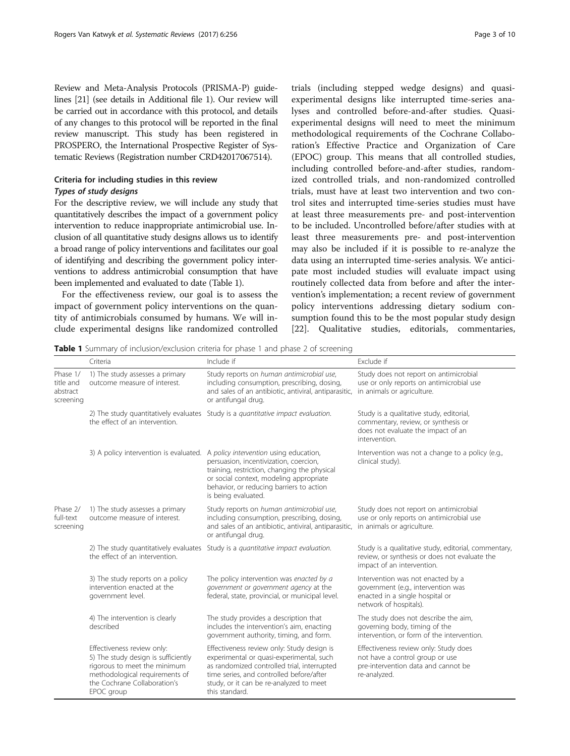<span id="page-2-0"></span>Review and Meta-Analysis Protocols (PRISMA-P) guidelines [\[21](#page-8-0)] (see details in Additional file [1\)](#page-7-0). Our review will be carried out in accordance with this protocol, and details of any changes to this protocol will be reported in the final review manuscript. This study has been registered in PROSPERO, the International Prospective Register of Systematic Reviews (Registration number CRD42017067514).

## Criteria for including studies in this review

## Types of study designs

For the descriptive review, we will include any study that quantitatively describes the impact of a government policy intervention to reduce inappropriate antimicrobial use. Inclusion of all quantitative study designs allows us to identify a broad range of policy interventions and facilitates our goal of identifying and describing the government policy interventions to address antimicrobial consumption that have been implemented and evaluated to date (Table 1).

For the effectiveness review, our goal is to assess the impact of government policy interventions on the quantity of antimicrobials consumed by humans. We will include experimental designs like randomized controlled

trials (including stepped wedge designs) and quasiexperimental designs like interrupted time-series analyses and controlled before-and-after studies. Quasiexperimental designs will need to meet the minimum methodological requirements of the Cochrane Collaboration's Effective Practice and Organization of Care (EPOC) group. This means that all controlled studies, including controlled before-and-after studies, randomized controlled trials, and non-randomized controlled trials, must have at least two intervention and two control sites and interrupted time-series studies must have at least three measurements pre- and post-intervention to be included. Uncontrolled before/after studies with at least three measurements pre- and post-intervention may also be included if it is possible to re-analyze the data using an interrupted time-series analysis. We anticipate most included studies will evaluate impact using routinely collected data from before and after the intervention's implementation; a recent review of government policy interventions addressing dietary sodium consumption found this to be the most popular study design [[22\]](#page-9-0). Qualitative studies, editorials, commentaries,

Table 1 Summary of inclusion/exclusion criteria for phase 1 and phase 2 of screening

|                                                | Criteria                                                                                                                                                                          | Include if                                                                                                                                                                                                                                     | Exclude if                                                                                                                             |
|------------------------------------------------|-----------------------------------------------------------------------------------------------------------------------------------------------------------------------------------|------------------------------------------------------------------------------------------------------------------------------------------------------------------------------------------------------------------------------------------------|----------------------------------------------------------------------------------------------------------------------------------------|
| Phase 1/<br>title and<br>abstract<br>screening | 1) The study assesses a primary<br>outcome measure of interest.                                                                                                                   | Study reports on human antimicrobial use,<br>including consumption, prescribing, dosing,<br>and sales of an antibiotic, antiviral, antiparasitic,<br>or antifungal drug.                                                                       | Study does not report on antimicrobial<br>use or only reports on antimicrobial use<br>in animals or agriculture.                       |
|                                                | 2) The study quantitatively evaluates<br>the effect of an intervention.                                                                                                           | Study is a quantitative impact evaluation.                                                                                                                                                                                                     | Study is a qualitative study, editorial,<br>commentary, review, or synthesis or<br>does not evaluate the impact of an<br>intervention. |
|                                                | 3) A policy intervention is evaluated.                                                                                                                                            | A policy intervention using education,<br>persuasion, incentivization, coercion,<br>training, restriction, changing the physical<br>or social context, modeling appropriate<br>behavior, or reducing barriers to action<br>is being evaluated. | Intervention was not a change to a policy (e.g.,<br>clinical study).                                                                   |
| Phase 2/<br>full-text<br>screening             | 1) The study assesses a primary<br>outcome measure of interest.                                                                                                                   | Study reports on human antimicrobial use,<br>including consumption, prescribing, dosing,<br>and sales of an antibiotic, antiviral, antiparasitic,<br>or antifungal drug.                                                                       | Study does not report on antimicrobial<br>use or only reports on antimicrobial use<br>in animals or agriculture.                       |
|                                                | the effect of an intervention.                                                                                                                                                    | 2) The study quantitatively evaluates Study is a quantitative impact evaluation.                                                                                                                                                               | Study is a qualitative study, editorial, commentary,<br>review, or synthesis or does not evaluate the<br>impact of an intervention.    |
|                                                | 3) The study reports on a policy<br>intervention enacted at the<br>government level.                                                                                              | The policy intervention was enacted by a<br>government or government agency at the<br>federal, state, provincial, or municipal level.                                                                                                          | Intervention was not enacted by a<br>government (e.g., intervention was<br>enacted in a single hospital or<br>network of hospitals).   |
|                                                | 4) The intervention is clearly<br>described                                                                                                                                       | The study provides a description that<br>includes the intervention's aim, enacting<br>government authority, timing, and form.                                                                                                                  | The study does not describe the aim,<br>governing body, timing of the<br>intervention, or form of the intervention.                    |
|                                                | Effectiveness review only:<br>5) The study design is sufficiently<br>rigorous to meet the minimum<br>methodological requirements of<br>the Cochrane Collaboration's<br>EPOC group | Effectiveness review only: Study design is<br>experimental or quasi-experimental, such<br>as randomized controlled trial, interrupted<br>time series, and controlled before/after<br>study, or it can be re-analyzed to meet<br>this standard. | Effectiveness review only: Study does<br>not have a control group or use<br>pre-intervention data and cannot be<br>re-analyzed.        |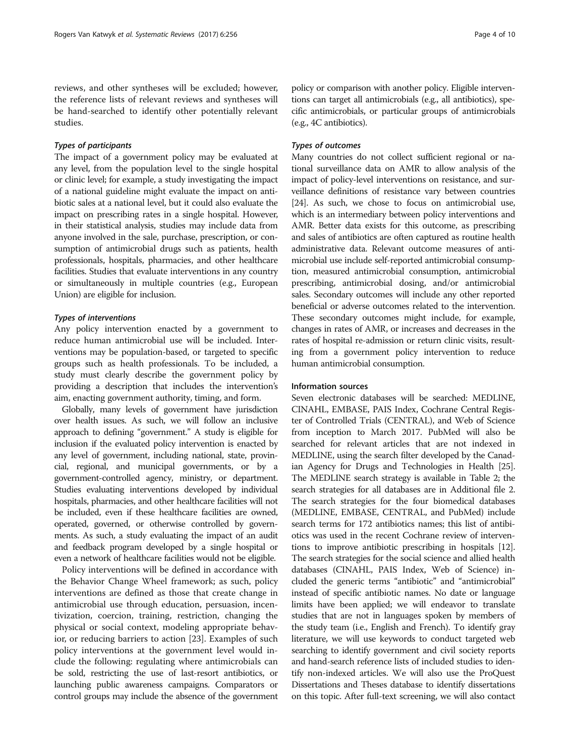reviews, and other syntheses will be excluded; however, the reference lists of relevant reviews and syntheses will be hand-searched to identify other potentially relevant studies.

### Types of participants

The impact of a government policy may be evaluated at any level, from the population level to the single hospital or clinic level; for example, a study investigating the impact of a national guideline might evaluate the impact on antibiotic sales at a national level, but it could also evaluate the impact on prescribing rates in a single hospital. However, in their statistical analysis, studies may include data from anyone involved in the sale, purchase, prescription, or consumption of antimicrobial drugs such as patients, health professionals, hospitals, pharmacies, and other healthcare facilities. Studies that evaluate interventions in any country or simultaneously in multiple countries (e.g., European Union) are eligible for inclusion.

## Types of interventions

Any policy intervention enacted by a government to reduce human antimicrobial use will be included. Interventions may be population-based, or targeted to specific groups such as health professionals. To be included, a study must clearly describe the government policy by providing a description that includes the intervention's aim, enacting government authority, timing, and form.

Globally, many levels of government have jurisdiction over health issues. As such, we will follow an inclusive approach to defining "government." A study is eligible for inclusion if the evaluated policy intervention is enacted by any level of government, including national, state, provincial, regional, and municipal governments, or by a government-controlled agency, ministry, or department. Studies evaluating interventions developed by individual hospitals, pharmacies, and other healthcare facilities will not be included, even if these healthcare facilities are owned, operated, governed, or otherwise controlled by governments. As such, a study evaluating the impact of an audit and feedback program developed by a single hospital or even a network of healthcare facilities would not be eligible.

Policy interventions will be defined in accordance with the Behavior Change Wheel framework; as such, policy interventions are defined as those that create change in antimicrobial use through education, persuasion, incentivization, coercion, training, restriction, changing the physical or social context, modeling appropriate behavior, or reducing barriers to action [\[23](#page-9-0)]. Examples of such policy interventions at the government level would include the following: regulating where antimicrobials can be sold, restricting the use of last-resort antibiotics, or launching public awareness campaigns. Comparators or control groups may include the absence of the government policy or comparison with another policy. Eligible interventions can target all antimicrobials (e.g., all antibiotics), specific antimicrobials, or particular groups of antimicrobials (e.g., 4C antibiotics).

### Types of outcomes

Many countries do not collect sufficient regional or national surveillance data on AMR to allow analysis of the impact of policy-level interventions on resistance, and surveillance definitions of resistance vary between countries [[24](#page-9-0)]. As such, we chose to focus on antimicrobial use, which is an intermediary between policy interventions and AMR. Better data exists for this outcome, as prescribing and sales of antibiotics are often captured as routine health administrative data. Relevant outcome measures of antimicrobial use include self-reported antimicrobial consumption, measured antimicrobial consumption, antimicrobial prescribing, antimicrobial dosing, and/or antimicrobial sales. Secondary outcomes will include any other reported beneficial or adverse outcomes related to the intervention. These secondary outcomes might include, for example, changes in rates of AMR, or increases and decreases in the rates of hospital re-admission or return clinic visits, resulting from a government policy intervention to reduce human antimicrobial consumption.

## Information sources

Seven electronic databases will be searched: MEDLINE, CINAHL, EMBASE, PAIS Index, Cochrane Central Register of Controlled Trials (CENTRAL), and Web of Science from inception to March 2017. PubMed will also be searched for relevant articles that are not indexed in MEDLINE, using the search filter developed by the Canadian Agency for Drugs and Technologies in Health [\[25](#page-9-0)]. The MEDLINE search strategy is available in Table [2](#page-4-0); the search strategies for all databases are in Additional file [2](#page-7-0). The search strategies for the four biomedical databases (MEDLINE, EMBASE, CENTRAL, and PubMed) include search terms for 172 antibiotics names; this list of antibiotics was used in the recent Cochrane review of interventions to improve antibiotic prescribing in hospitals [[12](#page-8-0)]. The search strategies for the social science and allied health databases (CINAHL, PAIS Index, Web of Science) included the generic terms "antibiotic" and "antimicrobial" instead of specific antibiotic names. No date or language limits have been applied; we will endeavor to translate studies that are not in languages spoken by members of the study team (i.e., English and French). To identify gray literature, we will use keywords to conduct targeted web searching to identify government and civil society reports and hand-search reference lists of included studies to identify non-indexed articles. We will also use the ProQuest Dissertations and Theses database to identify dissertations on this topic. After full-text screening, we will also contact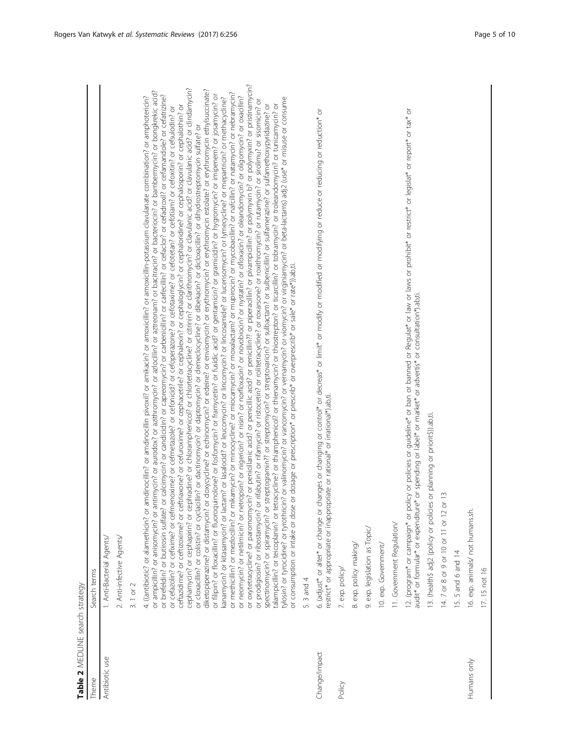<span id="page-4-0"></span>

| Theme          | Search terms                                                                                                                                                                                                                                                                                                                                                                                                                                                                                                                                                                                                                                                                                                                                                                                                                                                                                                                                                                                                                                                                                                                                                                                                                                                                                                                                                                                                                                                                                                                                                                                                                                                                                                                                                                                                                                                                                                                                                                                                                                                                                                                                                                                                                                                                                                                                                                                                                                                                                                                                                                                                                                                                                                                                                                                                                                                                                                                                                                                                                                  |
|----------------|-----------------------------------------------------------------------------------------------------------------------------------------------------------------------------------------------------------------------------------------------------------------------------------------------------------------------------------------------------------------------------------------------------------------------------------------------------------------------------------------------------------------------------------------------------------------------------------------------------------------------------------------------------------------------------------------------------------------------------------------------------------------------------------------------------------------------------------------------------------------------------------------------------------------------------------------------------------------------------------------------------------------------------------------------------------------------------------------------------------------------------------------------------------------------------------------------------------------------------------------------------------------------------------------------------------------------------------------------------------------------------------------------------------------------------------------------------------------------------------------------------------------------------------------------------------------------------------------------------------------------------------------------------------------------------------------------------------------------------------------------------------------------------------------------------------------------------------------------------------------------------------------------------------------------------------------------------------------------------------------------------------------------------------------------------------------------------------------------------------------------------------------------------------------------------------------------------------------------------------------------------------------------------------------------------------------------------------------------------------------------------------------------------------------------------------------------------------------------------------------------------------------------------------------------------------------------------------------------------------------------------------------------------------------------------------------------------------------------------------------------------------------------------------------------------------------------------------------------------------------------------------------------------------------------------------------------------------------------------------------------------------------------------------------------|
| Antibiotic use | I. Anti-Bacterial Agents/                                                                                                                                                                                                                                                                                                                                                                                                                                                                                                                                                                                                                                                                                                                                                                                                                                                                                                                                                                                                                                                                                                                                                                                                                                                                                                                                                                                                                                                                                                                                                                                                                                                                                                                                                                                                                                                                                                                                                                                                                                                                                                                                                                                                                                                                                                                                                                                                                                                                                                                                                                                                                                                                                                                                                                                                                                                                                                                                                                                                                     |
|                | 2. Anti-infective Agents/                                                                                                                                                                                                                                                                                                                                                                                                                                                                                                                                                                                                                                                                                                                                                                                                                                                                                                                                                                                                                                                                                                                                                                                                                                                                                                                                                                                                                                                                                                                                                                                                                                                                                                                                                                                                                                                                                                                                                                                                                                                                                                                                                                                                                                                                                                                                                                                                                                                                                                                                                                                                                                                                                                                                                                                                                                                                                                                                                                                                                     |
|                | $3.1$ or $2$                                                                                                                                                                                                                                                                                                                                                                                                                                                                                                                                                                                                                                                                                                                                                                                                                                                                                                                                                                                                                                                                                                                                                                                                                                                                                                                                                                                                                                                                                                                                                                                                                                                                                                                                                                                                                                                                                                                                                                                                                                                                                                                                                                                                                                                                                                                                                                                                                                                                                                                                                                                                                                                                                                                                                                                                                                                                                                                                                                                                                                  |
|                | or oxytetracycline? or paromomycin? or penicillanic acid? or penicillic acid? or penicillin?? or pivarnpicillin? or polymyxin b? or polymyxin? or pristinamycin?<br>cephamycin? or cephapirin? or cephradine? or chloramphenicol? or chlortetracycline? or clarithromycin? or clavulanic acid? or clavulanic acid? or clindamycin?<br>diketopiperazine? or distamycin? or doxycycline? or echinomycin? or edeine? or enviomycin? or erythromycin? or erythromycin estolate? or erythromycin ethylsuccinate?<br>antimycin? or aurodox? or azithromycin? or azlocillin? or aztreonam? or bacitracin? or bacteriocin? or bambermycin? or bongkrekic acid?<br>mikamycin? or minocycline? or miocamycin? or moxalactam? or mupirocin? or mycobacillin? or nafcillin? or natamycin? or nebramycin?<br>or brefeldin? or butirosin sulfate? or calcimycin? or candicidin? or capreomycin? or carboililin? or cefador? or cefadoxil? or cefamandole? or cefatrizine?<br>or filipin? or floxacillin? or fluoroquinolone? or fosfomycin? or framycetin? or fusidic acid? or gentamicin? or gramicidin? or hygromycin? or imipenem? or josamycin? or<br>amdinocillin? or amdinocillin pivoxil? or amikacin? or amoxicillin? or amoxicillin-potassium clavulanate combination? or amphotericin?<br>or neomycin? or netilmicin? or netropsin? or nigericin? or nisin? or novobiocin? or nystatin? or ofloxacin? or oleandomycin? or oligomycin? or oxacillin?<br>tylosin? or tyrocidine? or tyrothricin? or valinomycin? or vancomycin? or viemamycin? or virginiamycin? or beta-lactams) adj2 (use* or misuse or consume<br>kanamycin? or kitasamycin? or lactam? or lasalocid? or leucomycin? or lincomycin? or lucensomycin? or lymecycline? or mepartricin? or methacycline?<br>or rifabutin? or rifamycin? or ristocetin? or rolitetracycline? or roxarsone? or roxithromycin? or rutamycin? or sirolimu? or sisomicin? or<br>talampicillin? or teicoplanin? or tetracycline? or thiamphenicol? or thienamycin? or thiostrepton? or ticarcillin? or tobramycin? or troleandomycin? or tunicamycin? or<br>spectinomycin? or spiramycin? or streptogramin?? or streptomycin? or streptovaricin? or sulbactam? or sulbenicillin? or sulfamerazine? or sulfamethoxypyridazine? or<br>ceftazidime? or ceftizoxime? or cefuriaxone? or cefuroxime? or cephale? or cephaloglycin? or cephaloridine? or cephalosporin? or cephalothin? or<br>or cefazolin? or cefixime? or cefmenoxime? or cefmetazole? or cefonicid? or ceforazone? or cefotetan? or cefotetan? or cefotiam? or cefoxitin? or cefsulodin? or<br>or cloxacillin? or cylistin? or cylacillin? or dactinomycin? or daptomycin? or demeclocycline? or dibekacin? or dicloxacillin? or dirlydrostreptomycin sulfate? or<br>or consumption or intake or dose or dosage or prescription* or prescrib* or overprescrib* or sale* or rate*).ab,ti.<br>4. ((antibiotic? or alamethicin? or<br>or prodigiosin? or ribostamycin?<br>or methicillin? or mezlocillin? or<br>or ampicilin? or anisomycin? or |
|                | $3$ and $4$<br>s.                                                                                                                                                                                                                                                                                                                                                                                                                                                                                                                                                                                                                                                                                                                                                                                                                                                                                                                                                                                                                                                                                                                                                                                                                                                                                                                                                                                                                                                                                                                                                                                                                                                                                                                                                                                                                                                                                                                                                                                                                                                                                                                                                                                                                                                                                                                                                                                                                                                                                                                                                                                                                                                                                                                                                                                                                                                                                                                                                                                                                             |
| Change/impact  | changes or changing or control* or decreas* or limit* or modify or modified or modifying or reduce or reducing or reduction* or<br>restrict* or appropriate or inappropriate or rational* or irrational*).ab.ti.<br>6. (adjust* or alter* or change or                                                                                                                                                                                                                                                                                                                                                                                                                                                                                                                                                                                                                                                                                                                                                                                                                                                                                                                                                                                                                                                                                                                                                                                                                                                                                                                                                                                                                                                                                                                                                                                                                                                                                                                                                                                                                                                                                                                                                                                                                                                                                                                                                                                                                                                                                                                                                                                                                                                                                                                                                                                                                                                                                                                                                                                        |
| Policy         | 7. exp. policy/                                                                                                                                                                                                                                                                                                                                                                                                                                                                                                                                                                                                                                                                                                                                                                                                                                                                                                                                                                                                                                                                                                                                                                                                                                                                                                                                                                                                                                                                                                                                                                                                                                                                                                                                                                                                                                                                                                                                                                                                                                                                                                                                                                                                                                                                                                                                                                                                                                                                                                                                                                                                                                                                                                                                                                                                                                                                                                                                                                                                                               |
|                | 8. exp. policy making/                                                                                                                                                                                                                                                                                                                                                                                                                                                                                                                                                                                                                                                                                                                                                                                                                                                                                                                                                                                                                                                                                                                                                                                                                                                                                                                                                                                                                                                                                                                                                                                                                                                                                                                                                                                                                                                                                                                                                                                                                                                                                                                                                                                                                                                                                                                                                                                                                                                                                                                                                                                                                                                                                                                                                                                                                                                                                                                                                                                                                        |
|                | 9. exp. legislation as Topic/                                                                                                                                                                                                                                                                                                                                                                                                                                                                                                                                                                                                                                                                                                                                                                                                                                                                                                                                                                                                                                                                                                                                                                                                                                                                                                                                                                                                                                                                                                                                                                                                                                                                                                                                                                                                                                                                                                                                                                                                                                                                                                                                                                                                                                                                                                                                                                                                                                                                                                                                                                                                                                                                                                                                                                                                                                                                                                                                                                                                                 |
|                | 10. exp. Government/                                                                                                                                                                                                                                                                                                                                                                                                                                                                                                                                                                                                                                                                                                                                                                                                                                                                                                                                                                                                                                                                                                                                                                                                                                                                                                                                                                                                                                                                                                                                                                                                                                                                                                                                                                                                                                                                                                                                                                                                                                                                                                                                                                                                                                                                                                                                                                                                                                                                                                                                                                                                                                                                                                                                                                                                                                                                                                                                                                                                                          |
|                | 11. Government Regulation/                                                                                                                                                                                                                                                                                                                                                                                                                                                                                                                                                                                                                                                                                                                                                                                                                                                                                                                                                                                                                                                                                                                                                                                                                                                                                                                                                                                                                                                                                                                                                                                                                                                                                                                                                                                                                                                                                                                                                                                                                                                                                                                                                                                                                                                                                                                                                                                                                                                                                                                                                                                                                                                                                                                                                                                                                                                                                                                                                                                                                    |
|                | 12. (program* or campaign* or policy or policies or guideline* or ban or banned or Regulat* or laws or laws or prohibit* or restrict* or legislat* or report* or dx* or<br>audit* or formular* or expenditure* or spending or label* or market* or advertis* or consultation*).ab.ti.                                                                                                                                                                                                                                                                                                                                                                                                                                                                                                                                                                                                                                                                                                                                                                                                                                                                                                                                                                                                                                                                                                                                                                                                                                                                                                                                                                                                                                                                                                                                                                                                                                                                                                                                                                                                                                                                                                                                                                                                                                                                                                                                                                                                                                                                                                                                                                                                                                                                                                                                                                                                                                                                                                                                                         |
|                | 13. (health\$ adj2 (policy or policies or planning or priorit\$)).ab,ti.                                                                                                                                                                                                                                                                                                                                                                                                                                                                                                                                                                                                                                                                                                                                                                                                                                                                                                                                                                                                                                                                                                                                                                                                                                                                                                                                                                                                                                                                                                                                                                                                                                                                                                                                                                                                                                                                                                                                                                                                                                                                                                                                                                                                                                                                                                                                                                                                                                                                                                                                                                                                                                                                                                                                                                                                                                                                                                                                                                      |
|                | or $13$<br>14.7 or 8 or 9 or 10 or 11 or 12                                                                                                                                                                                                                                                                                                                                                                                                                                                                                                                                                                                                                                                                                                                                                                                                                                                                                                                                                                                                                                                                                                                                                                                                                                                                                                                                                                                                                                                                                                                                                                                                                                                                                                                                                                                                                                                                                                                                                                                                                                                                                                                                                                                                                                                                                                                                                                                                                                                                                                                                                                                                                                                                                                                                                                                                                                                                                                                                                                                                   |
|                | 15.5 and 6 and 14                                                                                                                                                                                                                                                                                                                                                                                                                                                                                                                                                                                                                                                                                                                                                                                                                                                                                                                                                                                                                                                                                                                                                                                                                                                                                                                                                                                                                                                                                                                                                                                                                                                                                                                                                                                                                                                                                                                                                                                                                                                                                                                                                                                                                                                                                                                                                                                                                                                                                                                                                                                                                                                                                                                                                                                                                                                                                                                                                                                                                             |
| Humans only    | 16. exp. animals/ not humans.sh.                                                                                                                                                                                                                                                                                                                                                                                                                                                                                                                                                                                                                                                                                                                                                                                                                                                                                                                                                                                                                                                                                                                                                                                                                                                                                                                                                                                                                                                                                                                                                                                                                                                                                                                                                                                                                                                                                                                                                                                                                                                                                                                                                                                                                                                                                                                                                                                                                                                                                                                                                                                                                                                                                                                                                                                                                                                                                                                                                                                                              |
|                | 17.15 not 16                                                                                                                                                                                                                                                                                                                                                                                                                                                                                                                                                                                                                                                                                                                                                                                                                                                                                                                                                                                                                                                                                                                                                                                                                                                                                                                                                                                                                                                                                                                                                                                                                                                                                                                                                                                                                                                                                                                                                                                                                                                                                                                                                                                                                                                                                                                                                                                                                                                                                                                                                                                                                                                                                                                                                                                                                                                                                                                                                                                                                                  |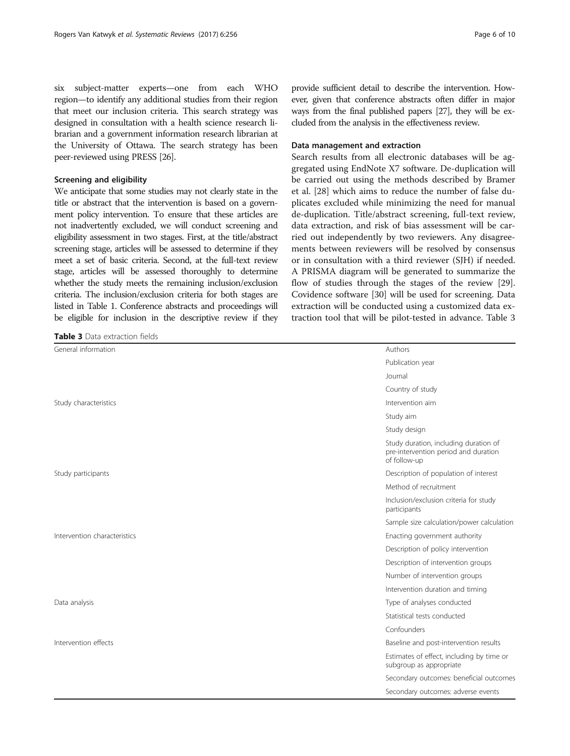six subject-matter experts—one from each WHO region—to identify any additional studies from their region that meet our inclusion criteria. This search strategy was designed in consultation with a health science research librarian and a government information research librarian at the University of Ottawa. The search strategy has been peer-reviewed using PRESS [\[26\]](#page-9-0).

#### Screening and eligibility

We anticipate that some studies may not clearly state in the title or abstract that the intervention is based on a government policy intervention. To ensure that these articles are not inadvertently excluded, we will conduct screening and eligibility assessment in two stages. First, at the title/abstract screening stage, articles will be assessed to determine if they meet a set of basic criteria. Second, at the full-text review stage, articles will be assessed thoroughly to determine whether the study meets the remaining inclusion/exclusion criteria. The inclusion/exclusion criteria for both stages are listed in Table [1](#page-2-0). Conference abstracts and proceedings will be eligible for inclusion in the descriptive review if they

Table 3 Data extraction fields

provide sufficient detail to describe the intervention. However, given that conference abstracts often differ in major ways from the final published papers [\[27](#page-9-0)], they will be excluded from the analysis in the effectiveness review.

#### Data management and extraction

Search results from all electronic databases will be aggregated using EndNote X7 software. De-duplication will be carried out using the methods described by Bramer et al. [\[28](#page-9-0)] which aims to reduce the number of false duplicates excluded while minimizing the need for manual de-duplication. Title/abstract screening, full-text review, data extraction, and risk of bias assessment will be carried out independently by two reviewers. Any disagreements between reviewers will be resolved by consensus or in consultation with a third reviewer (SJH) if needed. A PRISMA diagram will be generated to summarize the flow of studies through the stages of the review [\[29](#page-9-0)]. Covidence software [\[30](#page-9-0)] will be used for screening. Data extraction will be conducted using a customized data extraction tool that will be pilot-tested in advance. Table 3

| General information          | Authors                                                                                       |
|------------------------------|-----------------------------------------------------------------------------------------------|
|                              | Publication year                                                                              |
|                              | Journal                                                                                       |
|                              | Country of study                                                                              |
| Study characteristics        | Intervention aim                                                                              |
|                              | Study aim                                                                                     |
|                              | Study design                                                                                  |
|                              | Study duration, including duration of<br>pre-intervention period and duration<br>of follow-up |
| Study participants           | Description of population of interest                                                         |
|                              | Method of recruitment                                                                         |
|                              | Inclusion/exclusion criteria for study<br>participants                                        |
|                              | Sample size calculation/power calculation                                                     |
| Intervention characteristics | Enacting government authority                                                                 |
|                              | Description of policy intervention                                                            |
|                              | Description of intervention groups                                                            |
|                              | Number of intervention groups                                                                 |
|                              | Intervention duration and timing                                                              |
| Data analysis                | Type of analyses conducted                                                                    |
|                              | Statistical tests conducted                                                                   |
|                              | Confounders                                                                                   |
| Intervention effects         | Baseline and post-intervention results                                                        |
|                              | Estimates of effect, including by time or<br>subgroup as appropriate                          |
|                              | Secondary outcomes: beneficial outcomes                                                       |
|                              | Secondary outcomes: adverse events                                                            |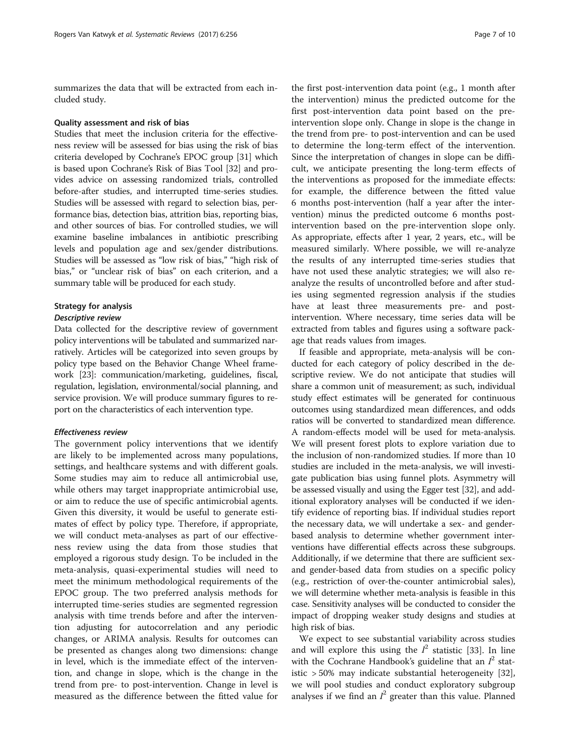summarizes the data that will be extracted from each included study.

#### Quality assessment and risk of bias

Studies that meet the inclusion criteria for the effectiveness review will be assessed for bias using the risk of bias criteria developed by Cochrane's EPOC group [\[31\]](#page-9-0) which is based upon Cochrane's Risk of Bias Tool [\[32\]](#page-9-0) and provides advice on assessing randomized trials, controlled before-after studies, and interrupted time-series studies. Studies will be assessed with regard to selection bias, performance bias, detection bias, attrition bias, reporting bias, and other sources of bias. For controlled studies, we will examine baseline imbalances in antibiotic prescribing levels and population age and sex/gender distributions. Studies will be assessed as "low risk of bias," "high risk of bias," or "unclear risk of bias" on each criterion, and a summary table will be produced for each study.

#### Strategy for analysis

## Descriptive review

Data collected for the descriptive review of government policy interventions will be tabulated and summarized narratively. Articles will be categorized into seven groups by policy type based on the Behavior Change Wheel framework [[23](#page-9-0)]: communication/marketing, guidelines, fiscal, regulation, legislation, environmental/social planning, and service provision. We will produce summary figures to report on the characteristics of each intervention type.

# Effectiveness review

The government policy interventions that we identify are likely to be implemented across many populations, settings, and healthcare systems and with different goals. Some studies may aim to reduce all antimicrobial use, while others may target inappropriate antimicrobial use, or aim to reduce the use of specific antimicrobial agents. Given this diversity, it would be useful to generate estimates of effect by policy type. Therefore, if appropriate, we will conduct meta-analyses as part of our effectiveness review using the data from those studies that employed a rigorous study design. To be included in the meta-analysis, quasi-experimental studies will need to meet the minimum methodological requirements of the EPOC group. The two preferred analysis methods for interrupted time-series studies are segmented regression analysis with time trends before and after the intervention adjusting for autocorrelation and any periodic changes, or ARIMA analysis. Results for outcomes can be presented as changes along two dimensions: change in level, which is the immediate effect of the intervention, and change in slope, which is the change in the trend from pre- to post-intervention. Change in level is measured as the difference between the fitted value for

the first post-intervention data point (e.g., 1 month after the intervention) minus the predicted outcome for the first post-intervention data point based on the preintervention slope only. Change in slope is the change in the trend from pre- to post-intervention and can be used to determine the long-term effect of the intervention. Since the interpretation of changes in slope can be difficult, we anticipate presenting the long-term effects of the interventions as proposed for the immediate effects: for example, the difference between the fitted value 6 months post-intervention (half a year after the intervention) minus the predicted outcome 6 months postintervention based on the pre-intervention slope only. As appropriate, effects after 1 year, 2 years, etc., will be measured similarly. Where possible, we will re-analyze the results of any interrupted time-series studies that have not used these analytic strategies; we will also reanalyze the results of uncontrolled before and after studies using segmented regression analysis if the studies have at least three measurements pre- and postintervention. Where necessary, time series data will be extracted from tables and figures using a software package that reads values from images.

If feasible and appropriate, meta-analysis will be conducted for each category of policy described in the descriptive review. We do not anticipate that studies will share a common unit of measurement; as such, individual study effect estimates will be generated for continuous outcomes using standardized mean differences, and odds ratios will be converted to standardized mean difference. A random-effects model will be used for meta-analysis. We will present forest plots to explore variation due to the inclusion of non-randomized studies. If more than 10 studies are included in the meta-analysis, we will investigate publication bias using funnel plots. Asymmetry will be assessed visually and using the Egger test [[32](#page-9-0)], and additional exploratory analyses will be conducted if we identify evidence of reporting bias. If individual studies report the necessary data, we will undertake a sex- and genderbased analysis to determine whether government interventions have differential effects across these subgroups. Additionally, if we determine that there are sufficient sexand gender-based data from studies on a specific policy (e.g., restriction of over-the-counter antimicrobial sales), we will determine whether meta-analysis is feasible in this case. Sensitivity analyses will be conducted to consider the impact of dropping weaker study designs and studies at high risk of bias.

We expect to see substantial variability across studies and will explore this using the  $I^2$  statistic [[33\]](#page-9-0). In line with the Cochrane Handbook's guideline that an  $I^2$  statistic > 50% may indicate substantial heterogeneity [\[32](#page-9-0)], we will pool studies and conduct exploratory subgroup analyses if we find an  $I^2$  greater than this value. Planned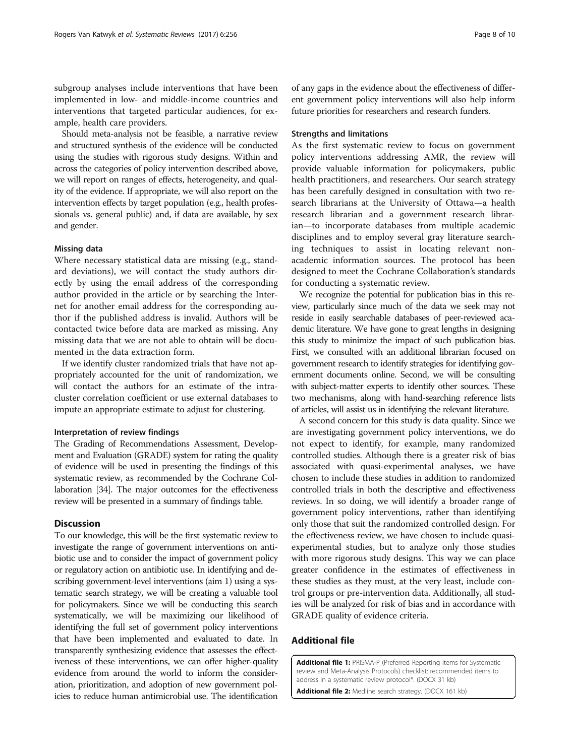<span id="page-7-0"></span>subgroup analyses include interventions that have been implemented in low- and middle-income countries and interventions that targeted particular audiences, for example, health care providers.

Should meta-analysis not be feasible, a narrative review and structured synthesis of the evidence will be conducted using the studies with rigorous study designs. Within and across the categories of policy intervention described above, we will report on ranges of effects, heterogeneity, and quality of the evidence. If appropriate, we will also report on the intervention effects by target population (e.g., health professionals vs. general public) and, if data are available, by sex and gender.

#### Missing data

Where necessary statistical data are missing (e.g., standard deviations), we will contact the study authors directly by using the email address of the corresponding author provided in the article or by searching the Internet for another email address for the corresponding author if the published address is invalid. Authors will be contacted twice before data are marked as missing. Any missing data that we are not able to obtain will be documented in the data extraction form.

If we identify cluster randomized trials that have not appropriately accounted for the unit of randomization, we will contact the authors for an estimate of the intracluster correlation coefficient or use external databases to impute an appropriate estimate to adjust for clustering.

## Interpretation of review findings

The Grading of Recommendations Assessment, Development and Evaluation (GRADE) system for rating the quality of evidence will be used in presenting the findings of this systematic review, as recommended by the Cochrane Collaboration [\[34\]](#page-9-0). The major outcomes for the effectiveness review will be presented in a summary of findings table.

#### **Discussion**

To our knowledge, this will be the first systematic review to investigate the range of government interventions on antibiotic use and to consider the impact of government policy or regulatory action on antibiotic use. In identifying and describing government-level interventions (aim 1) using a systematic search strategy, we will be creating a valuable tool for policymakers. Since we will be conducting this search systematically, we will be maximizing our likelihood of identifying the full set of government policy interventions that have been implemented and evaluated to date. In transparently synthesizing evidence that assesses the effectiveness of these interventions, we can offer higher-quality evidence from around the world to inform the consideration, prioritization, and adoption of new government policies to reduce human antimicrobial use. The identification

of any gaps in the evidence about the effectiveness of different government policy interventions will also help inform future priorities for researchers and research funders.

## Strengths and limitations

As the first systematic review to focus on government policy interventions addressing AMR, the review will provide valuable information for policymakers, public health practitioners, and researchers. Our search strategy has been carefully designed in consultation with two research librarians at the University of Ottawa—a health research librarian and a government research librarian—to incorporate databases from multiple academic disciplines and to employ several gray literature searching techniques to assist in locating relevant nonacademic information sources. The protocol has been designed to meet the Cochrane Collaboration's standards for conducting a systematic review.

We recognize the potential for publication bias in this review, particularly since much of the data we seek may not reside in easily searchable databases of peer-reviewed academic literature. We have gone to great lengths in designing this study to minimize the impact of such publication bias. First, we consulted with an additional librarian focused on government research to identify strategies for identifying government documents online. Second, we will be consulting with subject-matter experts to identify other sources. These two mechanisms, along with hand-searching reference lists of articles, will assist us in identifying the relevant literature.

A second concern for this study is data quality. Since we are investigating government policy interventions, we do not expect to identify, for example, many randomized controlled studies. Although there is a greater risk of bias associated with quasi-experimental analyses, we have chosen to include these studies in addition to randomized controlled trials in both the descriptive and effectiveness reviews. In so doing, we will identify a broader range of government policy interventions, rather than identifying only those that suit the randomized controlled design. For the effectiveness review, we have chosen to include quasiexperimental studies, but to analyze only those studies with more rigorous study designs. This way we can place greater confidence in the estimates of effectiveness in these studies as they must, at the very least, include control groups or pre-intervention data. Additionally, all studies will be analyzed for risk of bias and in accordance with GRADE quality of evidence criteria.

## Additional file

[Additional file 1:](dx.doi.org/10.1186/s13643-017-0640-2) PRISMA-P (Preferred Reporting Items for Systematic review and Meta-Analysis Protocols) checklist: recommended items to address in a systematic review protocol\*. (DOCX 31 kb)

[Additional file 2:](dx.doi.org/10.1186/s13643-017-0640-2) Medline search strategy. (DOCX 161 kb)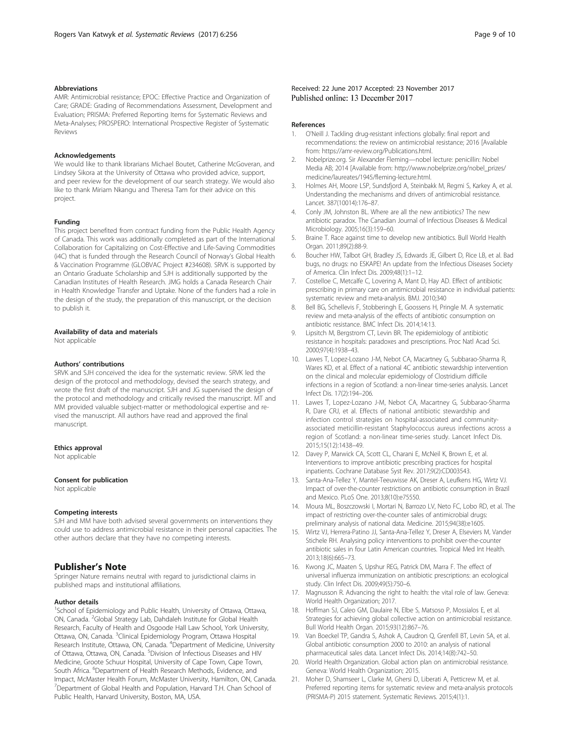#### <span id="page-8-0"></span>Abbreviations

AMR: Antimicrobial resistance; EPOC: Effective Practice and Organization of Care; GRADE: Grading of Recommendations Assessment, Development and Evaluation; PRISMA: Preferred Reporting Items for Systematic Reviews and Meta-Analyses; PROSPERO: International Prospective Register of Systematic Reviews

#### Acknowledgements

We would like to thank librarians Michael Boutet, Catherine McGoveran, and Lindsey Sikora at the University of Ottawa who provided advice, support, and peer review for the development of our search strategy. We would also like to thank Miriam Nkangu and Theresa Tam for their advice on this project.

#### Funding

This project benefited from contract funding from the Public Health Agency of Canada. This work was additionally completed as part of the International Collaboration for Capitalizing on Cost-Effective and Life-Saving Commodities (i4C) that is funded through the Research Council of Norway's Global Health & Vaccination Programme (GLOBVAC Project #234608). SRVK is supported by an Ontario Graduate Scholarship and SJH is additionally supported by the Canadian Institutes of Health Research. JMG holds a Canada Research Chair in Health Knowledge Transfer and Uptake. None of the funders had a role in the design of the study, the preparation of this manuscript, or the decision to publish it.

#### Availability of data and materials

Not applicable

#### Authors' contributions

SRVK and SJH conceived the idea for the systematic review. SRVK led the design of the protocol and methodology, devised the search strategy, and wrote the first draft of the manuscript. SJH and JG supervised the design of the protocol and methodology and critically revised the manuscript. MT and MM provided valuable subject-matter or methodological expertise and revised the manuscript. All authors have read and approved the final manuscript.

#### Ethics approval

Not applicable

#### Consent for publication

Not applicable

#### Competing interests

SJH and MM have both advised several governments on interventions they could use to address antimicrobial resistance in their personal capacities. The other authors declare that they have no competing interests.

#### Publisher's Note

Springer Nature remains neutral with regard to jurisdictional claims in published maps and institutional affiliations.

#### Author details

<sup>1</sup>School of Epidemiology and Public Health, University of Ottawa, Ottawa, ON, Canada. <sup>2</sup>Global Strategy Lab, Dahdaleh Institute for Global Health Research, Faculty of Health and Osgoode Hall Law School, York University, Ottawa, ON, Canada. <sup>3</sup>Clinical Epidemiology Program, Ottawa Hospital Research Institute, Ottawa, ON, Canada. <sup>4</sup> Department of Medicine, University of Ottawa, Ottawa, ON, Canada. <sup>5</sup> Division of Infectious Diseases and HIV Medicine, Groote Schuur Hospital, University of Cape Town, Cape Town, South Africa. <sup>6</sup>Department of Health Research Methods, Evidence, and Impact, McMaster Health Forum, McMaster University, Hamilton, ON, Canada. <sup>7</sup> Department of Global Health and Population, Harvard T.H. Chan School of Public Health, Harvard University, Boston, MA, USA.

#### Received: 22 June 2017 Accepted: 23 November 2017 Published online: 13 December 2017

#### References

- 1. O'Neill J. Tackling drug-resistant infections globally: final report and recommendations: the review on antimicrobial resistance; 2016 [Available from: [https://amr-review.org/Publications.html.](https://amr-review.org/Publications.html)
- 2. Nobelprize.org. Sir Alexander Fleming—nobel lecture: penicillin: Nobel Media AB; 2014 [Available from: [http://www.nobelprize.org/nobel\\_prizes/](http://www.nobelprize.org/nobel_prizes/medicine/laureates/1945/fleming-lecture.html) [medicine/laureates/1945/fleming-lecture.html.](http://www.nobelprize.org/nobel_prizes/medicine/laureates/1945/fleming-lecture.html)
- 3. Holmes AH, Moore LSP, Sundsfjord A, Steinbakk M, Regmi S, Karkey A, et al. Understanding the mechanisms and drivers of antimicrobial resistance. Lancet. 387(10014):176–87.
- 4. Conly JM, Johnston BL. Where are all the new antibiotics? The new antibiotic paradox. The Canadian Journal of Infectious Diseases & Medical Microbiology. 2005;16(3):159–60.
- 5. Braine T. Race against time to develop new antibiotics. Bull World Health Organ. 2011;89(2):88-9.
- 6. Boucher HW, Talbot GH, Bradley JS, Edwards JE, Gilbert D, Rice LB, et al. Bad bugs, no drugs: no ESKAPE! An update from the Infectious Diseases Society of America. Clin Infect Dis. 2009;48(1):1–12.
- 7. Costelloe C, Metcalfe C, Lovering A, Mant D, Hay AD. Effect of antibiotic prescribing in primary care on antimicrobial resistance in individual patients: systematic review and meta-analysis. BMJ. 2010;340
- 8. Bell BG, Schellevis F, Stobberingh E, Goossens H, Pringle M. A systematic review and meta-analysis of the effects of antibiotic consumption on antibiotic resistance. BMC Infect Dis. 2014;14:13.
- 9. Lipsitch M, Bergstrom CT, Levin BR. The epidemiology of antibiotic resistance in hospitals: paradoxes and prescriptions. Proc Natl Acad Sci. 2000;97(4):1938–43.
- 10. Lawes T, Lopez-Lozano J-M, Nebot CA, Macartney G, Subbarao-Sharma R, Wares KD, et al. Effect of a national 4C antibiotic stewardship intervention on the clinical and molecular epidemiology of Clostridium difficile infections in a region of Scotland: a non-linear time-series analysis. Lancet Infect Dis. 17(2):194–206.
- 11. Lawes T, Lopez-Lozano J-M, Nebot CA, Macartney G, Subbarao-Sharma R, Dare CRJ, et al. Effects of national antibiotic stewardship and infection control strategies on hospital-associated and communityassociated meticillin-resistant Staphylococcus aureus infections across a region of Scotland: a non-linear time-series study. Lancet Infect Dis. 2015;15(12):1438–49.
- 12. Davey P, Marwick CA, Scott CL, Charani E, McNeil K, Brown E, et al. Interventions to improve antibiotic prescribing practices for hospital inpatients. Cochrane Database Syst Rev. 2017;9(2):CD003543.
- 13. Santa-Ana-Tellez Y, Mantel-Teeuwisse AK, Dreser A, Leufkens HG, Wirtz VJ. Impact of over-the-counter restrictions on antibiotic consumption in Brazil and Mexico. PLoS One. 2013;8(10):e75550.
- 14. Moura ML, Boszczowski I, Mortari N, Barrozo LV, Neto FC, Lobo RD, et al. The impact of restricting over-the-counter sales of antimicrobial drugs: preliminary analysis of national data. Medicine. 2015;94(38):e1605.
- 15. Wirtz VJ, Herrera-Patino JJ, Santa-Ana-Tellez Y, Dreser A, Elseviers M, Vander Stichele RH. Analysing policy interventions to prohibit over-the-counter antibiotic sales in four Latin American countries. Tropical Med Int Health. 2013;18(6):665–73.
- 16. Kwong JC, Maaten S, Upshur REG, Patrick DM, Marra F. The effect of universal influenza immunization on antibiotic prescriptions: an ecological study. Clin Infect Dis. 2009;49(5):750–6.
- 17. Magnusson R. Advancing the right to health: the vital role of law. Geneva: World Health Organization; 2017.
- 18. Hoffman SJ, Caleo GM, Daulaire N, Elbe S, Matsoso P, Mossialos E, et al. Strategies for achieving global collective action on antimicrobial resistance. Bull World Health Organ. 2015;93(12):867–76.
- 19. Van Boeckel TP, Gandra S, Ashok A, Caudron Q, Grenfell BT, Levin SA, et al. Global antibiotic consumption 2000 to 2010: an analysis of national pharmaceutical sales data. Lancet Infect Dis. 2014;14(8):742–50.
- 20. World Health Organization. Global action plan on antimicrobial resistance. Geneva: World Health Organization; 2015.
- 21. Moher D, Shamseer L, Clarke M, Ghersi D, Liberati A, Petticrew M, et al. Preferred reporting items for systematic review and meta-analysis protocols (PRISMA-P) 2015 statement. Systematic Reviews. 2015;4(1):1.